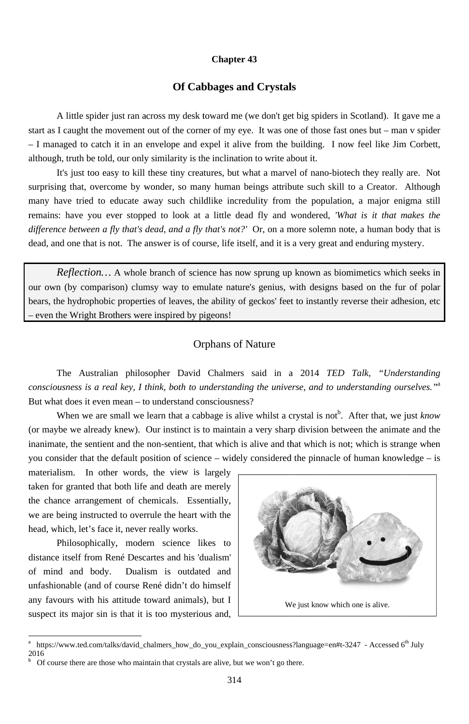#### **Chapter 43**

## **Of Cabbages and Crystals**

A little spider just ran across my desk toward me (we don't get big spiders in Scotland). It gave me a start as I caught the movement out of the corner of my eye. It was one of those fast ones but – man v spider - I managed to catch it in an envelope and expel it alive from the building. I now feel like Jim Corbett, although, truth be told, our only similarity is the inclination to write about it.

It's just too easy to kill these tiny creatures, but what a marvel of nano-biotech they really are. Not surprising that, overcome by wonder, so many human beings attribute such skill to a Creator. Although many have tried to educate away such childlike incredulity from the population, a major enigma still remains: have you ever stopped to look at a little dead fly and wondered, 'What is it that makes the difference between a fly that's dead, and a fly that's not?' Or, on a more solemn note, a human body that is dead, and one that is not. The answer is of course, life itself, and it is a very great and enduring mystery.

*Reflection*... A whole branch of science has now sprung up known as biomimetics which seeks in our own (by comparison) clumsy way to emulate nature's genius, with designs based on the fur of polar bears, the hydrophobic properties of leaves, the ability of geckos' feet to instantly reverse their adhesion, etc even the Wright Brothers were inspired by pigeons!

# **Orphans of Nature**

The Australian philosopher David Chalmers said in a 2014 TED Talk, "Understanding consciousness is a real key, I think, both to understanding the universe, and to understanding ourselves."<sup>a</sup> But what does it even mean – to understand consciousness?

When we are small we learn that a cabbage is alive whilst a crystal is not<sup>b</sup>. After that, we just know (or maybe we already knew). Our instinct is to maintain a very sharp division between the animate and the inanimate, the sentient and the non-sentient, that which is alive and that which is not; which is strange when you consider that the default position of science – widely considered the pinnacle of human knowledge – is

materialism. In other words, the view is largely taken for granted that both life and death are merely the chance arrangement of chemicals. Essentially, we are being instructed to overrule the heart with the head, which, let's face it, never really works. Philosophically, modern science likes to distance itself from René Descartes and his 'dualism' of mind and body. Dualism is outdated and unfashionable (and of course René didn't do himself any favours with his attitude toward animals), but I suspect its major sin is that it is too mysterious and,



https://www.ted.com/talks/david\_chalmers\_how\_do\_you\_explain\_consciousness?language=en#t-3247 - Accessed 6<sup>th</sup> July  $\alpha$ 2016  $\boldsymbol{\mathsf{b}}$ 

Of course there are those who maintain that crystals are alive, but we won't go there.

314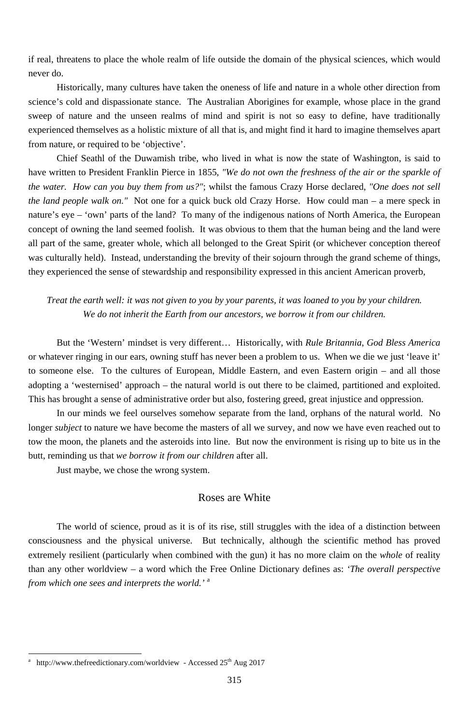if real, threatens to place the whole realm of life outside the domain of the physical sciences, which would never do.

Historically, many cultures have taken the oneness of life and nature in a whole other direction from science's cold and dispassionate stance. The Australian Aborigines for example, whose place in the grand sweep of nature and the unseen realms of mind and spirit is not so easy to define, have traditionally experienced themselves as a holistic mixture of all that is, and might find it hard to imagine themselves apart from nature, or required to be 'objective'.

Chief Seathl of the Duwamish tribe, who lived in what is now the state of Washington, is said to have written to President Franklin Pierce in 1855, *"We do not own the freshness of the air or the sparkle of the water. How can you buy them from us?"*; whilst the famous Crazy Horse declared, *"One does not sell the land people walk on."* Not one for a quick buck old Crazy Horse. How could man – a mere speck in nature's eye – 'own' parts of the land? To many of the indigenous nations of North America, the European concept of owning the land seemed foolish. It was obvious to them that the human being and the land were all part of the same, greater whole, which all belonged to the Great Spirit (or whichever conception thereof was culturally held). Instead, understanding the brevity of their sojourn through the grand scheme of things, they experienced the sense of stewardship and responsibility expressed in this ancient American proverb,

-

## *Treat the earth well: it was not given to you by your parents, it was loaned to you by your children. We do not inherit the Earth from our ancestors, we borrow it from our children.*

But the 'Western' mindset is very different… Historically, with *Rule Britannia*, *God Bless America* or whatever ringing in our ears, owning stuff has never been a problem to us. When we die we just 'leave it' to someone else. To the cultures of European, Middle Eastern, and even Eastern origin – and all those adopting a 'westernised' approach – the natural world is out there to be claimed, partitioned and exploited. This has brought a sense of administrative order but also, fostering greed, great injustice and oppression.

In our minds we feel ourselves somehow separate from the land, orphans of the natural world. No longer *subject* to nature we have become the masters of all we survey, and now we have even reached out to tow the moon, the planets and the asteroids into line. But now the environment is rising up to bite us in the butt, reminding us that *we borrow it from our children* after all.

Just maybe, we chose the wrong system.

#### Roses are White

The world of science, proud as it is of its rise, still struggles with the idea of a distinction between

consciousness and the physical universe. But technically, although the scientific method has proved extremely resilient (particularly when combined with the gun) it has no more claim on the *whole* of reality than any other worldview – a word which the Free Online Dictionary defines as: *'The overall perspective from which one sees and interprets the world.'* <sup>a</sup>

<sup>315</sup>

a http://www.thefreedictionary.com/worldview - Accessed 25<sup>th</sup> Aug 2017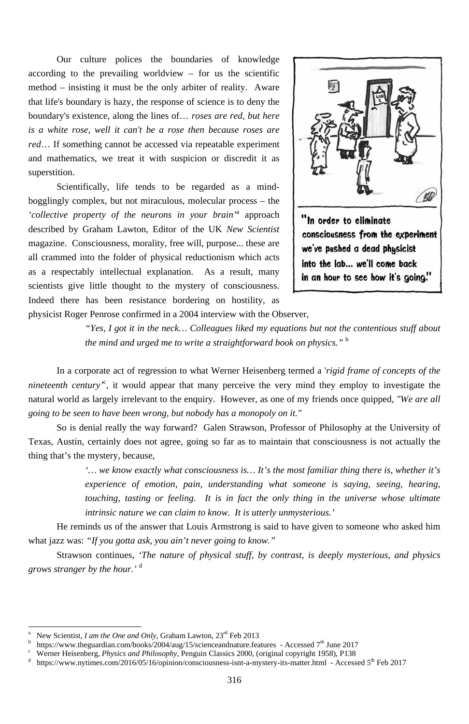Our culture polices the boundaries of knowledge according to the prevailing worldview  $-$  for us the scientific method – insisting it must be the only arbiter of reality. Aware that life's boundary is hazy, the response of science is to deny the boundary's existence, along the lines of… *roses are red, but here is a white rose, well it can't be a rose then because roses are red*… If something cannot be accessed via repeatable experiment and mathematics, we treat it with suspicion or discredit it as superstition.

Scientifically, life tends to be regarded as a mindbogglingly complex, but not miraculous, molecular process – the *'collective property of the neurons in your brain'*<sup>a</sup> approach described by Graham Lawton, Editor of the UK *New Scientist* magazine. Consciousness, morality, free will, purpose... these are all crammed into the folder of physical reductionism which acts as a respectably intellectual explanation. As a result, many scientists give little thought to the mystery of consciousness. Indeed there has been resistance bordering on hostility, as physicist Roger Penrose confirmed in a 2004 interview with the Observer,



*"Yes, I got it in the neck… Colleagues liked my equations but not the contentious stuff about the mind and urged me to write a straightforward book on physics."* <sup>b</sup>

-

In a corporate act of regression to what Werner Heisenberg termed a '*rigid frame of concepts of the nineteenth century'*<sup>c</sup> , it would appear that many perceive the very mind they employ to investigate the natural world as largely irrelevant to the enquiry. However, as one of my friends once quipped, *"We are all going to be seen to have been wrong, but nobody has a monopoly on it."*

So is denial really the way forward? Galen Strawson, Professor of Philosophy at the University of Texas, Austin, certainly does not agree, going so far as to maintain that consciousness is not actually the thing that's the mystery, because,

> *'… we know exactly what consciousness is… It's the most familiar thing there is, whether it's experience of emotion, pain, understanding what someone is saying, seeing, hearing, touching, tasting or feeling. It is in fact the only thing in the universe whose ultimate intrinsic nature we can claim to know. It is utterly unmysterious.'*

He reminds us of the answer that Louis Armstrong is said to have given to someone who asked him

what jazz was: *"If you gotta ask, you ain't never going to know."*

Strawson continues, *'The nature of physical stuff, by contrast, is deeply mysterious, and physics grows stranger by the hour.'* <sup>d</sup>

<sup>316</sup>

a New Scientist, *I am the One and Only*, Graham Lawton, 23<sup>rd</sup> Feb 2013

b <sup>b</sup> https://www.theguardian.com/books/2004/aug/15/scienceandnature.features - Accessed 7<sup>th</sup> June 2017<br><sup>c</sup> Werner Heisenberg *Physics and Philosophy* Penguin Classics 2000 (original convright 1958) P138

d https://www.nytimes.com/2016/05/16/opinion/consciousness-isnt-a-mystery-its-matter.html - Accessed 5<sup>th</sup> Feb 2017

Werner Heisenberg, *Physics and Philosophy*, Penguin Classics 2000, (original copyright 1958), P138